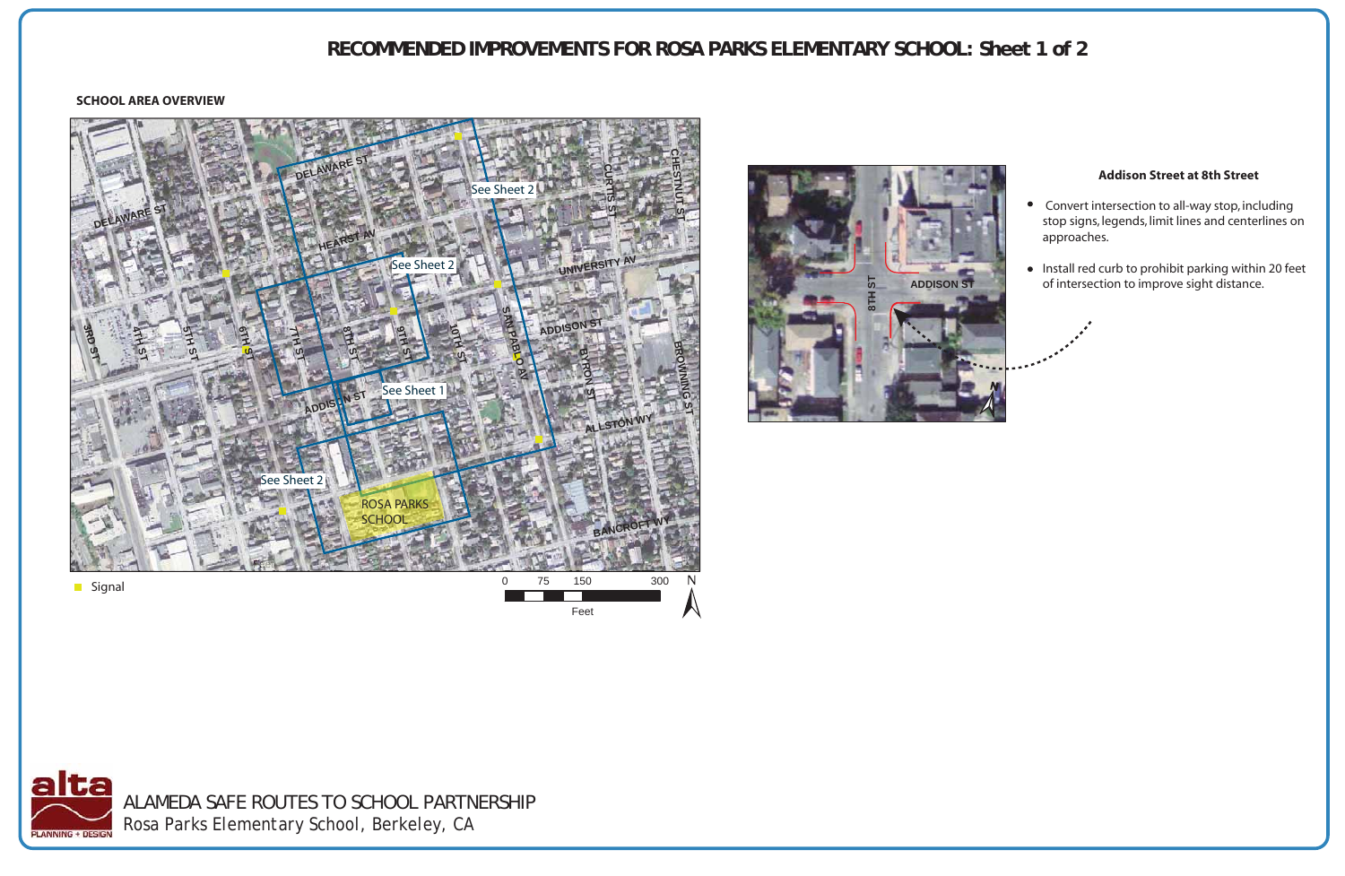

# **RECOMMENDED IMPROVEMENTS FOR ROSA PARKS ELEMENTARY SCHOOL: Sheet 1 of 2**

## **SCHOOL AREA OVERVIEW**

## **Addison Street at 8th Street**

- Convert intersection to all-way stop, including stop signs, legends, limit lines and centerlines on approaches.
- Install red curb to prohibit parking within 20 feet of intersection to improve sight distance.